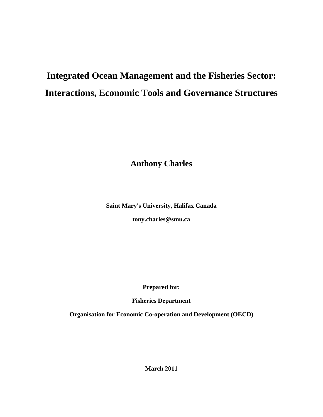# **Integrated Ocean Management and the Fisheries Sector: Interactions, Economic Tools and Governance Structures**

**Anthony Charles** 

**Saint Mary's University, Halifax Canada** 

**tony.charles@smu.ca** 

**Prepared for:** 

**Fisheries Department** 

**Organisation for Economic Co-operation and Development (OECD)** 

**March 2011**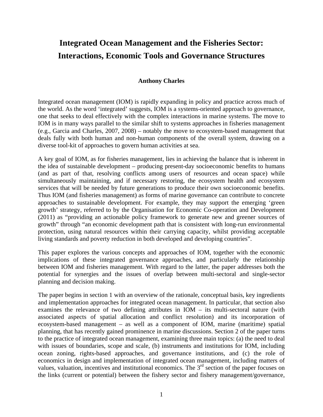# **Integrated Ocean Management and the Fisheries Sector: Interactions, Economic Tools and Governance Structures**

#### **Anthony Charles**

Integrated ocean management (IOM) is rapidly expanding in policy and practice across much of the world. As the word 'integrated' suggests, IOM is a systems-oriented approach to governance, one that seeks to deal effectively with the complex interactions in marine systems. The move to IOM is in many ways parallel to the similar shift to systems approaches in fisheries management (e.g., Garcia and Charles, 2007, 2008) – notably the move to ecosystem-based management that deals fully with both human and non-human components of the overall system, drawing on a diverse tool-kit of approaches to govern human activities at sea.

A key goal of IOM, as for fisheries management, lies in achieving the balance that is inherent in the idea of sustainable development – producing present-day socioeconomic benefits to humans (and as part of that, resolving conflicts among users of resources and ocean space) while simultaneously maintaining, and if necessary restoring, the ecosystem health and ecosystem services that will be needed by future generations to produce their own socioeconomic benefits. Thus IOM (and fisheries management) as forms of marine governance can contribute to concrete approaches to sustainable development. For example, they may support the emerging 'green growth' strategy, referred to by the Organisation for Economic Co-operation and Development (2011) as "providing an actionable policy framework to generate new and greener sources of growth" through "an economic development path that is consistent with long-run environmental protection, using natural resources within their carrying capacity, whilst providing acceptable living standards and poverty reduction in both developed and developing countries".

This paper explores the various concepts and approaches of IOM, together with the economic implications of these integrated governance approaches, and particularly the relationship between IOM and fisheries management. With regard to the latter, the paper addresses both the potential for synergies and the issues of overlap between multi-sectoral and single-sector planning and decision making.

The paper begins in section 1 with an overview of the rationale, conceptual basis, key ingredients and implementation approaches for integrated ocean management. In particular, that section also examines the relevance of two defining attributes in IOM – its multi-sectoral nature (with associated aspects of spatial allocation and conflict resolution) and its incorporation of ecosystem-based management – as well as a component of IOM, marine (maritime) spatial planning, that has recently gained prominence in marine discussions. Section 2 of the paper turns to the practice of integrated ocean management, examining three main topics: (a) the need to deal with issues of boundaries, scope and scale, (b) instruments and institutions for IOM, including ocean zoning, rights-based approaches, and governance institutions, and (c) the role of economics in design and implementation of integrated ocean management, including matters of values, valuation, incentives and institutional economics. The 3<sup>rd</sup> section of the paper focuses on the links (current or potential) between the fishery sector and fishery management/governance,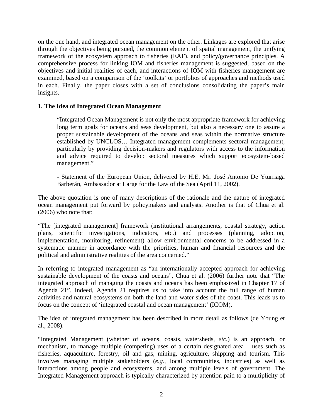on the one hand, and integrated ocean management on the other. Linkages are explored that arise through the objectives being pursued, the common element of spatial management, the unifying framework of the ecosystem approach to fisheries (EAF), and policy/governance principles. A comprehensive process for linking IOM and fisheries management is suggested, based on the objectives and initial realities of each, and interactions of IOM with fisheries management are examined, based on a comparison of the 'toolkits' or portfolios of approaches and methods used in each. Finally, the paper closes with a set of conclusions consolidating the paper's main insights.

#### **1. The Idea of Integrated Ocean Management**

"Integrated Ocean Management is not only the most appropriate framework for achieving long term goals for oceans and seas development, but also a necessary one to assure a proper sustainable development of the oceans and seas within the normative structure established by UNCLOS… Integrated management complements sectoral management, particularly by providing decision-makers and regulators with access to the information and advice required to develop sectoral measures which support ecosystem-based management."

- Statement of the European Union, delivered by H.E. Mr. José Antonio De Yturriaga Barberán, Ambassador at Large for the Law of the Sea (April 11, 2002).

The above quotation is one of many descriptions of the rationale and the nature of integrated ocean management put forward by policymakers and analysts. Another is that of Chua et al. (2006) who note that:

"The [integrated management] framework (institutional arrangements, coastal strategy, action plans, scientific investigations, indicators, etc.) and processes (planning, adoption, implementation, monitoring, refinement) allow environmental concerns to be addressed in a systematic manner in accordance with the priorities, human and financial resources and the political and administrative realities of the area concerned."

In referring to integrated management as "an internationally accepted approach for achieving sustainable development of the coasts and oceans", Chua et al. (2006) further note that "The integrated approach of managing the coasts and oceans has been emphasized in Chapter 17 of Agenda 21". Indeed, Agenda 21 requires us to take into account the full range of human activities and natural ecosystems on both the land and water sides of the coast. This leads us to focus on the concept of 'integrated coastal and ocean management' (ICOM).

The idea of integrated management has been described in more detail as follows (de Young et al., 2008):

"Integrated Management (whether of oceans, coasts, watersheds, *etc.*) is an approach, or mechanism, to manage multiple (competing) uses of a certain designated area – uses such as fisheries, aquaculture, forestry, oil and gas, mining, agriculture, shipping and tourism. This involves managing multiple stakeholders (*e.g.*, local communities, industries) as well as interactions among people and ecosystems, and among multiple levels of government. The Integrated Management approach is typically characterized by attention paid to a multiplicity of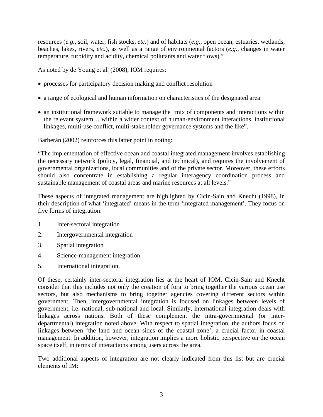resources (*e.g.*, soil, water, fish stocks, *etc.*) and of habitats (*e.g.*, open ocean, estuaries, wetlands, beaches, lakes, rivers, *etc.*), as well as a range of environmental factors (*e.g.*, changes in water temperature, turbidity and acidity, chemical pollutants and water flows)."

As noted by de Young et al. (2008), IOM requires:

- processes for participatory decision making and conflict resolution
- a range of ecological and human information on characteristics of the designated area
- an institutional framework suitable to manage the "mix of components and interactions within the relevant system… within a wider context of human-environment interactions, institutional linkages, multi-use conflict, multi-stakeholder governance systems and the like".

Barberán (2002) reinforces this latter point in noting:

"The implementation of effective ocean and coastal integrated management involves establishing the necessary network (policy, legal, financial, and technical), and requires the involvement of governmental organizations, local communities and of the private sector. Moreover, these efforts should also concentrate in establishing a regular interagency coordination process and sustainable management of coastal areas and marine resources at all levels."

These aspects of integrated management are highlighted by Cicin-Sain and Knecht (1998), in their description of what 'integrated' means in the term 'integrated management'. They focus on five forms of integration:

- 1. Inter-sectoral integration
- 2. Intergovernmental integration
- 3. Spatial integration
- 4. Science-management integration
- 5. International integration.

Of these, certainly inter-sectoral integration lies at the heart of IOM. Cicin-Sain and Knecht consider that this includes not only the creation of fora to bring together the various ocean use sectors, but also mechanisms to bring together agencies covering different sectors within government. Then, intergovernmental integration is focused on linkages between levels of government, i.e. national, sub-national and local. Similarly, international integration deals with linkages across nations. Both of these complement the intra-governmental (or interdepartmental) integration noted above. With respect to spatial integration, the authors focus on linkages between 'the land and ocean sides of the coastal zone', a crucial factor in coastal management. In addition, however, integration implies a more holistic perspective on the ocean space itself, in terms of interactions among users across the area.

Two additional aspects of integration are not clearly indicated from this list but are crucial elements of IM: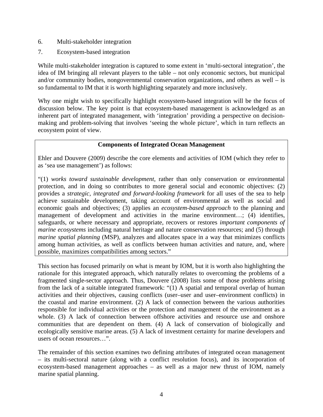- 6. Multi-stakeholder integration
- 7. Ecosystem-based integration

While multi-stakeholder integration is captured to some extent in 'multi-sectoral integration', the idea of IM bringing all relevant players to the table – not only economic sectors, but municipal and/or community bodies, nongovernmental conservation organizations, and others as well – is so fundamental to IM that it is worth highlighting separately and more inclusively.

Why one might wish to specifically highlight ecosystem-based integration will be the focus of discussion below. The key point is that ecosystem-based management is acknowledged as an inherent part of integrated management, with 'integration' providing a perspective on decisionmaking and problem-solving that involves 'seeing the whole picture', which in turn reflects an ecosystem point of view.

#### **Components of Integrated Ocean Management**

Ehler and Douvere (2009) describe the core elements and activities of IOM (which they refer to as 'sea use management') as follows:

"(1) *works toward sustainable development*, rather than only conservation or environmental protection, and in doing so contributes to more general social and economic objectives: (2) provides a *strategic, integrated and forward-looking framework* for all uses of the sea to help achieve sustainable development, taking account of environmental as well as social and economic goals and objectives; (3) applies an *ecosystem-based approach* to the planning and management of development and activities in the marine environment...; (4) identifies, safeguards, or where necessary and appropriate, recovers or restores *important components of marine ecosystems* including natural heritage and nature conservation resources; and (5) through *marine spatial planning* (MSP), analyzes and allocates space in a way that minimizes conflicts among human activities, as well as conflicts between human activities and nature, and, where possible, maximizes compatibilities among sectors."

This section has focused primarily on what is meant by IOM, but it is worth also highlighting the rationale for this integrated approach, which naturally relates to overcoming the problems of a fragmented single-sector approach. Thus, Douvere (2008) lists some of those problems arising from the lack of a suitable integrated framework: "(1) A spatial and temporal overlap of human activities and their objectives, causing conflicts (user–user and user–environment conflicts) in the coastal and marine environment. (2) A lack of connection between the various authorities responsible for individual activities or the protection and management of the environment as a whole. (3) A lack of connection between offshore activities and resource use and onshore communities that are dependent on them. (4) A lack of conservation of biologically and ecologically sensitive marine areas. (5) A lack of investment certainty for marine developers and users of ocean resources…".

The remainder of this section examines two defining attributes of integrated ocean management – its multi-sectoral nature (along with a conflict resolution focus), and its incorporation of ecosystem-based management approaches – as well as a major new thrust of IOM, namely marine spatial planning.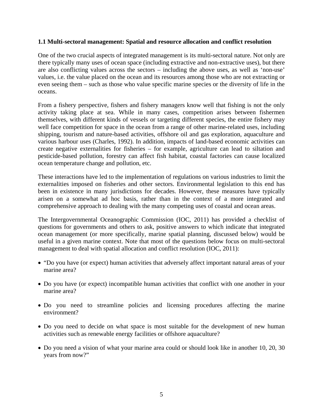#### **1.1 Multi-sectoral management: Spatial and resource allocation and conflict resolution**

One of the two crucial aspects of integrated management is its multi-sectoral nature. Not only are there typically many uses of ocean space (including extractive and non-extractive uses), but there are also conflicting values across the sectors – including the above uses, as well as 'non-use' values, i.e. the value placed on the ocean and its resources among those who are not extracting or even seeing them – such as those who value specific marine species or the diversity of life in the oceans.

From a fishery perspective, fishers and fishery managers know well that fishing is not the only activity taking place at sea. While in many cases, competition arises between fishermen themselves, with different kinds of vessels or targeting different species, the entire fishery may well face competition for space in the ocean from a range of other marine-related uses, including shipping, tourism and nature-based activities, offshore oil and gas exploration, aquaculture and various harbour uses (Charles, 1992). In addition, impacts of land-based economic activities can create negative externalities for fisheries – for example, agriculture can lead to siltation and pesticide-based pollution, forestry can affect fish habitat, coastal factories can cause localized ocean temperature change and pollution, etc.

These interactions have led to the implementation of regulations on various industries to limit the externalities imposed on fisheries and other sectors. Environmental legislation to this end has been in existence in many jurisdictions for decades. However, these measures have typically arisen on a somewhat ad hoc basis, rather than in the context of a more integrated and comprehensive approach to dealing with the many competing uses of coastal and ocean areas.

The Intergovernmental Oceanographic Commission (IOC, 2011) has provided a checklist of questions for governments and others to ask, positive answers to which indicate that integrated ocean management (or more specifically, marine spatial planning, discussed below) would be useful in a given marine context. Note that most of the questions below focus on multi-sectoral management to deal with spatial allocation and conflict resolution (IOC, 2011):

- "Do you have (or expect) human activities that adversely affect important natural areas of your marine area?
- Do you have (or expect) incompatible human activities that conflict with one another in your marine area?
- Do you need to streamline policies and licensing procedures affecting the marine environment?
- Do you need to decide on what space is most suitable for the development of new human activities such as renewable energy facilities or offshore aquaculture?
- Do you need a vision of what your marine area could or should look like in another 10, 20, 30 years from now?"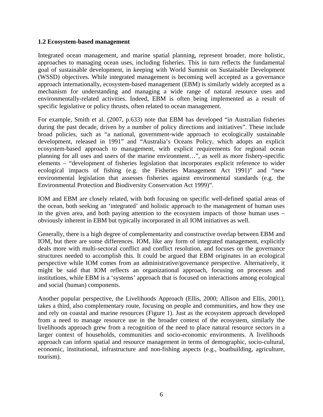#### **1.2 Ecosystem-based management**

Integrated ocean management, and marine spatial planning, represent broader, more holistic, approaches to managing ocean uses, including fisheries. This in turn reflects the fundamental goal of sustainable development, in keeping with World Summit on Sustainable Development (WSSD) objectives. While integrated management is becoming well accepted as a governance approach internationally, ecosystem-based management (EBM) is similarly widely accepted as a mechanism for understanding and managing a wide range of natural resource uses and environmentally-related activities. Indeed, EBM is often being implemented as a result of specific legislative or policy thrusts, often related to ocean management.

For example, Smith et al. (2007, p.633) note that EBM has developed "in Australian fisheries during the past decade, driven by a number of policy directions and initiatives". These include broad policies, such as "a national, government-wide approach to ecologically sustainable development, released in 1991" and "Australia's Oceans Policy, which adopts an explicit ecosystem-based approach to management, with explicit requirements for regional ocean planning for all uses and users of the marine environment…", as well as more fishery-specific elements – "development of fisheries legislation that incorporates explicit reference to wider ecological impacts of fishing (e.g. the Fisheries Management Act 1991)" and "new environmental legislation that assesses fisheries against environmental standards (e.g. the Environmental Protection and Biodiversity Conservation Act 1999)".

IOM and EBM are closely related, with both focusing on specific well-defined spatial areas of the ocean, both seeking an 'integrated' and holistic approach to the management of human uses in the given area, and both paying attention to the ecosystem impacts of those human uses – obviously inherent in EBM but typically incorporated in all IOM initiatives as well.

Generally, there is a high degree of complementarity and constructive overlap between EBM and IOM, but there are some differences. IOM, like any form of integrated management, explicitly deals more with multi-sectoral conflict and conflict resolution, and focuses on the governance structures needed to accomplish this. It could be argued that EBM originates in an ecological perspective while IOM comes from an administrative/governance perspective. Alternatively, it might be said that IOM reflects an organizational approach, focusing on processes and institutions, while EBM is a 'systems' approach that is focused on interactions among ecological and social (human) components.

Another popular perspective, the Livelihoods Approach (Ellis, 2000; Allison and Ellis, 2001), takes a third, also complementary route, focusing on people and communities, and how they use and rely on coastal and marine resources (Figure 1). Just as the ecosystem approach developed from a need to manage resource use in the broader context of the ecosystem, similarly the livelihoods approach grew from a recognition of the need to place natural resource sectors in a larger context of households, communities and socio-economic environments. A livelihoods approach can inform spatial and resource management in terms of demographic, socio-cultural, economic, institutional, infrastructure and non-fishing aspects (e.g., boatbuilding, agriculture, tourism).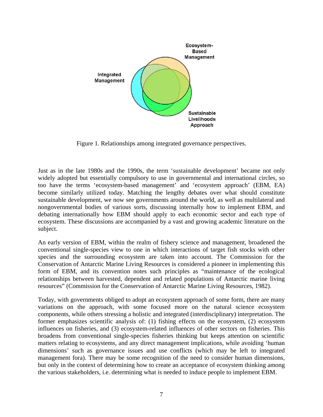

Figure 1. Relationships among integrated governance perspectives.

Just as in the late 1980s and the 1990s, the term 'sustainable development' became not only widely adopted but essentially compulsory to use in governmental and international circles, so too have the terms 'ecosystem-based management' and 'ecosystem approach' (EBM, EA) become similarly utilized today. Matching the lengthy debates over what should constitute sustainable development, we now see governments around the world, as well as multilateral and nongovernmental bodies of various sorts, discussing internally how to implement EBM, and debating internationally how EBM should apply to each economic sector and each type of ecosystem. These discussions are accompanied by a vast and growing academic literature on the subject.

An early version of EBM, within the realm of fishery science and management, broadened the conventional single-species view to one in which interactions of target fish stocks with other species and the surrounding ecosystem are taken into account. The Commission for the Conservation of Antarctic Marine Living Resources is considered a pioneer in implementing this form of EBM, and its convention notes such principles as "maintenance of the ecological relationships between harvested, dependent and related populations of Antarctic marine living resources" (Commission for the Conservation of Antarctic Marine Living Resources, 1982).

Today, with governments obliged to adopt an ecosystem approach of some form, there are many variations on the approach, with some focused more on the natural science ecosystem components, while others stressing a holistic and integrated (interdisciplinary) interpretation. The former emphasizes scientific analysis of: (1) fishing effects on the ecosystem, (2) ecosystem influences on fisheries, and (3) ecosystem-related influences of other sectors on fisheries. This broadens from conventional single-species fisheries thinking but keeps attention on scientific matters relating to ecosystems, and any direct management implications, while avoiding 'human dimensions' such as governance issues and use conflicts (which may be left to integrated management fora). There may be some recognition of the need to consider human dimensions, but only in the context of determining how to create an acceptance of ecosystem thinking among the various stakeholders, i.e. determining what is needed to induce people to implement EBM.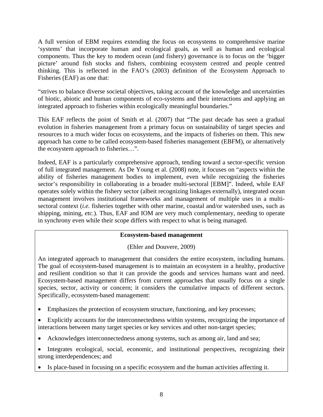A full version of EBM requires extending the focus on ecosystems to comprehensive marine 'systems' that incorporate human and ecological goals, as well as human and ecological components. Thus the key to modern ocean (and fishery) governance is to focus on the 'bigger picture' around fish stocks and fishers, combining ecosystem centred and people centred thinking. This is reflected in the FAO's (2003) definition of the Ecosystem Approach to Fisheries (EAF) as one that:

"strives to balance diverse societal objectives, taking account of the knowledge and uncertainties of biotic, abiotic and human components of eco-systems and their interactions and applying an integrated approach to fisheries within ecologically meaningful boundaries."

This EAF reflects the point of Smith et al. (2007) that "The past decade has seen a gradual evolution in fisheries management from a primary focus on sustainability of target species and resources to a much wider focus on ecosystems, and the impacts of fisheries on them. This new approach has come to be called ecosystem-based fisheries management (EBFM), or alternatively the ecosystem approach to fisheries…".

Indeed, EAF is a particularly comprehensive approach, tending toward a sector-specific version of full integrated management. As De Young et al. (2008) note, it focuses on "aspects within the ability of fisheries management bodies to implement, even while recognizing the fisheries sector's responsibility in collaborating in a broader multi-sectoral [EBM]". Indeed, while EAF operates solely within the fishery sector (albeit recognizing linkages externally), integrated ocean management involves institutional frameworks and management of multiple uses in a multisectoral context (*i.e.* fisheries together with other marine, coastal and/or watershed uses, such as shipping, mining, *etc.*). Thus, EAF and IOM are very much complementary, needing to operate in synchrony even while their scope differs with respect to what is being managed.

# **Ecosystem-based management**

(Ehler and Douvere, 2009)

An integrated approach to management that considers the entire ecosystem, including humans. The goal of ecosystem-based management is to maintain an ecosystem in a healthy, productive and resilient condition so that it can provide the goods and services humans want and need. Ecosystem-based management differs from current approaches that usually focus on a single species, sector, activity or concern; it considers the cumulative impacts of different sectors. Specifically, ecosystem-based management:

- Emphasizes the protection of ecosystem structure, functioning, and key processes;
- Explicitly accounts for the interconnectedness within systems, recognizing the importance of interactions between many target species or key services and other non-target species;
- Acknowledges interconnectedness among systems, such as among air, land and sea;
- Integrates ecological, social, economic, and institutional perspectives, recognizing their strong interdependences; and
- Is place-based in focusing on a specific ecosystem and the human activities affecting it.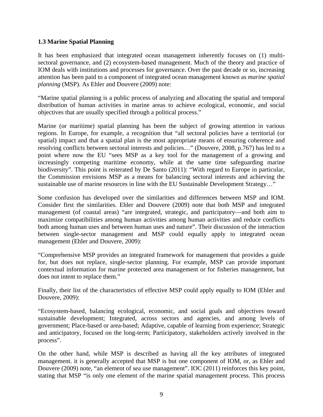# **1.3 Marine Spatial Planning**

It has been emphasized that integrated ocean management inherently focuses on (1) multisectoral governance, and (2) ecosystem-based management. Much of the theory and practice of IOM deals with institutions and processes for governance. Over the past decade or so, increasing attention has been paid to a component of integrated ocean management known as *marine spatial planning* (MSP). As Ehler and Douvere (2009) note:

"Marine spatial planning is a public process of analyzing and allocating the spatial and temporal distribution of human activities in marine areas to achieve ecological, economic, and social objectives that are usually specified through a political process."

Marine (or maritime) spatial planning has been the subject of growing attention in various regions. In Europe, for example, a recognition that "all sectoral policies have a territorial (or spatial) impact and that a spatial plan is the most appropriate means of ensuring coherence and resolving conflicts between sectoral interests and policies…" (Douvere, 2008, p.767) has led to a point where now the EU "sees MSP as a key tool for the management of a growing and increasingly competing maritime economy, while at the same time safeguarding marine biodiversity". This point is reiterated by De Santo (2011): "With regard to Europe in particular, the Commission envisions MSP as a means for balancing sectoral interests and achieving the sustainable use of marine resources in line with the EU Sustainable Development Strategy..."

Some confusion has developed over the similarities and differences between MSP and IOM. Consider first the similarities. Ehler and Douvere (2009) note that both MSP and integrated management (of coastal areas) "are integrated, strategic, and participatory—and both aim to maximize compatibilities among human activities among human activities and reduce conflicts both among human uses and between human uses and nature". Their discussion of the interaction between single-sector management and MSP could equally apply to integrated ocean management (Ehler and Douvere, 2009):

"Comprehensive MSP provides an integrated framework for management that provides a guide for, but does not replace, single-sector planning. For example, MSP can provide important contextual information for marine protected area management or for fisheries management, but does not intent to replace them."

Finally, their list of the characteristics of effective MSP could apply equally to IOM (Ehler and Douvere, 2009):

"Ecosystem-based, balancing ecological, economic, and social goals and objectives toward sustainable development; Integrated, across sectors and agencies, and among levels of government; Place-based or area-based; Adaptive, capable of learning from experience; Strategic and anticipatory, focused on the long-term; Participatory, stakeholders actively involved in the process".

On the other hand, while MSP is described as having all the key attributes of integrated management. it is generally accepted that MSP is but one component of IOM, or, as Ehler and Douvere (2009) note, "an element of sea use management". IOC (2011) reinforces this key point, stating that MSP "is only one element of the marine spatial management process. This process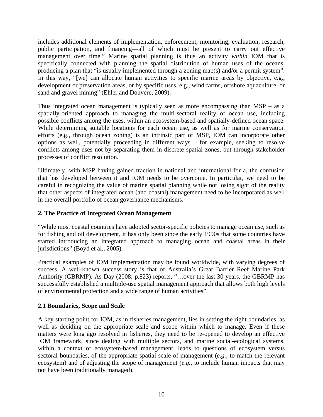includes additional elements of implementation, enforcement, monitoring, evaluation, research, public participation, and financing—all of which must be present to carry out effective management over time." Marine spatial planning is thus an activity *within* IOM that is specifically connected with planning the spatial distribution of human uses of the oceans, producing a plan that "is usually implemented through a zoning map(s) and/or a permit system". In this way, "[we] can allocate human activities to specific marine areas by objective, e.g., development or preservation areas, or by specific uses, e.g., wind farms, offshore aquaculture, or sand and gravel mining" (Ehler and Douvere, 2009).

Thus integrated ocean management is typically seen as more encompassing than MSP – as a spatially-oriented approach to managing the multi-sectoral reality of ocean use, including possible conflicts among the uses, within an ecosystem-based and spatially-defined ocean space. While determining suitable locations for each ocean use, as well as for marine conservation efforts (e.g., through ocean zoning) is an intrinsic part of MSP, IOM can incorporate other options as well, potentially proceeding in different ways – for example, seeking to resolve conflicts among uses not by separating them in discrete spatial zones, but through stakeholder processes of conflict resolution.

Ultimately, with MSP having gained traction in national and international for a, the confusion that has developed between it and IOM needs to be overcome. In particular, we need to be careful in recognizing the value of marine spatial planning while not losing sight of the reality that other aspects of integrated ocean (and coastal) management need to be incorporated as well in the overall portfolio of ocean governance mechanisms.

# **2. The Practice of Integrated Ocean Management**

"While most coastal countries have adopted sector-specific policies to manage ocean use, such as for fishing and oil development, it has only been since the early 1990s that some countries have started introducing an integrated approach to managing ocean and coastal areas in their jurisdictions" (Boyd et al., 2005).

Practical examples of IOM implementation may be found worldwide, with varying degrees of success. A well-known success story is that of Australia's Great Barrier Reef Marine Park Authority (GBRMP). As Day (2008: p.823) reports, "…over the last 30 years, the GBRMP has successfully established a multiple-use spatial management approach that allows both high levels of environmental protection and a wide range of human activities".

# **2.1 Boundaries, Scope and Scale**

A key starting point for IOM, as in fisheries management, lies in setting the right boundaries, as well as deciding on the appropriate scale and scope within which to manage. Even if these matters were long ago resolved in fisheries, they need to be re-opened to develop an effective IOM framework, since dealing with multiple sectors, and marine social-ecological systems, within a context of ecosystem-based management, leads to questions of ecosystem versus sectoral boundaries, of the appropriate spatial scale of management (*e.g.*, to match the relevant ecosystem) and of adjusting the scope of management (*e.g.*, to include human impacts that may not have been traditionally managed).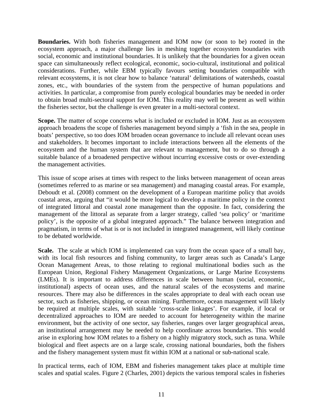**Boundaries.** With both fisheries management and IOM now (or soon to be) rooted in the ecosystem approach, a major challenge lies in meshing together ecosystem boundaries with social, economic and institutional boundaries. It is unlikely that the boundaries for a given ocean space can simultaneously reflect ecological, economic, socio-cultural, institutional and political considerations. Further, while EBM typically favours setting boundaries compatible with relevant ecosystems, it is not clear how to balance 'natural' delimitations of watersheds, coastal zones, etc., with boundaries of the system from the perspective of human populations and activities. In particular, a compromise from purely ecological boundaries may be needed in order to obtain broad multi-sectoral support for IOM. This reality may well be present as well within the fisheries sector, but the challenge is even greater in a multi-sectoral context.

**Scope.** The matter of scope concerns what is included or excluded in IOM. Just as an ecosystem approach broadens the scope of fisheries management beyond simply a 'fish in the sea, people in boats' perspective, so too does IOM broaden ocean governance to include all relevant ocean uses and stakeholders. It becomes important to include interactions between all the elements of the ecosystem and the human system that are relevant to management, but to do so through a suitable balance of a broadened perspective without incurring excessive costs or over-extending the management activities.

This issue of scope arises at times with respect to the links between management of ocean areas (sometimes referred to as marine or sea management) and managing coastal areas. For example, Deboudt et al. (2008) comment on the development of a European maritime policy that avoids coastal areas, arguing that "it would be more logical to develop a maritime policy in the context of integrated littoral and coastal zone management than the opposite. In fact, considering the management of the littoral as separate from a larger strategy, called 'sea policy' or 'maritime policy', is the opposite of a global integrated approach." The balance between integration and pragmatism, in terms of what is or is not included in integrated management, will likely continue to be debated worldwide.

**Scale.** The scale at which IOM is implemented can vary from the ocean space of a small bay, with its local fish resources and fishing community, to larger areas such as Canada's Large Ocean Management Areas, to those relating to regional multinational bodies such as the European Union, Regional Fishery Management Organizations, or Large Marine Ecosystems (LMEs). It is important to address differences in scale between human (social, economic, institutional) aspects of ocean uses, and the natural scales of the ecosystems and marine resources. There may also be differences in the scales appropriate to deal with each ocean use sector, such as fisheries, shipping, or ocean mining. Furthermore, ocean management will likely be required at multiple scales, with suitable 'cross-scale linkages'. For example, if local or decentralized approaches to IOM are needed to account for heterogeneity within the marine environment, but the activity of one sector, say fisheries, ranges over larger geographical areas, an institutional arrangement may be needed to help coordinate across boundaries. This would arise in exploring how IOM relates to a fishery on a highly migratory stock, such as tuna. While biological and fleet aspects are on a large scale, crossing national boundaries, both the fishers and the fishery management system must fit within IOM at a national or sub-national scale.

In practical terms, each of IOM, EBM and fisheries management takes place at multiple time scales and spatial scales. Figure 2 (Charles, 2001) depicts the various temporal scales in fisheries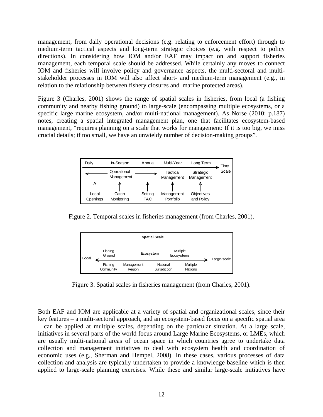management, from daily operational decisions (e.g. relating to enforcement effort) through to medium-term tactical aspects and long-term strategic choices (e.g. with respect to policy directions). In considering how IOM and/or EAF may impact on and support fisheries management, each temporal scale should be addressed. While certainly any moves to connect IOM and fisheries will involve policy and governance aspects, the multi-sectoral and multistakeholder processes in IOM will also affect short- and medium-term management (e.g., in relation to the relationship between fishery closures and marine protected areas).

Figure 3 (Charles, 2001) shows the range of spatial scales in fisheries, from local (a fishing community and nearby fishing ground) to large-scale (encompassing multiple ecosystems, or a specific large marine ecosystem, and/or multi-national management). As Norse (2010: p.187) notes, creating a spatial integrated management plan, one that facilitates ecosystem-based management, "requires planning on a scale that works for management: If it is too big, we miss crucial details; if too small, we have an unwieldy number of decision-making groups".

| Dailv             | In-Season                 | Annual                | Multi-Year              | Long Term                | Time  |
|-------------------|---------------------------|-----------------------|-------------------------|--------------------------|-------|
|                   | Operational<br>Management |                       | Tactical<br>Management  | Strategic<br>Management  | Scale |
|                   |                           |                       |                         |                          |       |
| Local<br>Openings | Catch<br>Monitoring       | Setting<br><b>TAC</b> | Management<br>Portfolio | Objectives<br>and Policy |       |

Figure 2. Temporal scales in fisheries management (from Charles, 2001).



Figure 3. Spatial scales in fisheries management (from Charles, 2001).

Both EAF and IOM are applicable at a variety of spatial and organizational scales, since their key features – a multi-sectoral approach, and an ecosystem-based focus on a specific spatial area – can be applied at multiple scales, depending on the particular situation. At a large scale, initiatives in several parts of the world focus around Large Marine Ecosystems, or LMEs, which are usually multi-national areas of ocean space in which countries agree to undertake data collection and management initiatives to deal with ecosystem health and coordination of economic uses (e.g., Sherman and Hempel, 2008). In these cases, various processes of data collection and analysis are typically undertaken to provide a knowledge baseline which is then applied to large-scale planning exercises. While these and similar large-scale initiatives have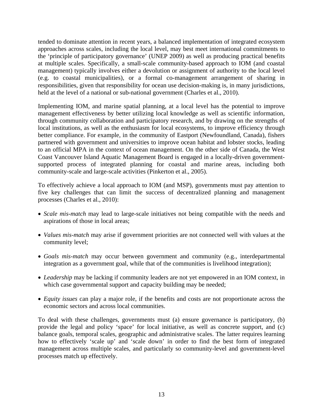tended to dominate attention in recent years, a balanced implementation of integrated ecosystem approaches across scales, including the local level, may best meet international commitments to the 'principle of participatory governance' (UNEP 2009) as well as producing practical benefits at multiple scales. Specifically, a small-scale community-based approach to IOM (and coastal management) typically involves either a devolution or assignment of authority to the local level (e.g. to coastal municipalities), or a formal co-management arrangement of sharing in responsibilities, given that responsibility for ocean use decision-making is, in many jurisdictions, held at the level of a national or sub-national government (Charles et al., 2010).

Implementing IOM, and marine spatial planning, at a local level has the potential to improve management effectiveness by better utilizing local knowledge as well as scientific information, through community collaboration and participatory research, and by drawing on the strengths of local institutions, as well as the enthusiasm for local ecosystems, to improve efficiency through better compliance. For example, in the community of Eastport (Newfoundland, Canada), fishers partnered with government and universities to improve ocean habitat and lobster stocks, leading to an official MPA in the context of ocean management. On the other side of Canada, the West Coast Vancouver Island Aquatic Management Board is engaged in a locally-driven governmentsupported process of integrated planning for coastal and marine areas, including both community-scale and large-scale activities (Pinkerton et al., 2005).

To effectively achieve a local approach to IOM (and MSP), governments must pay attention to five key challenges that can limit the success of decentralized planning and management processes (Charles et al., 2010):

- *Scale mis-match* may lead to large-scale initiatives not being compatible with the needs and aspirations of those in local areas;
- *Values mis-match* may arise if government priorities are not connected well with values at the community level;
- *Goals mis-match* may occur between government and community (e.g., interdepartmental integration as a government goal, while that of the communities is livelihood integration);
- *Leadership* may be lacking if community leaders are not yet empowered in an IOM context, in which case governmental support and capacity building may be needed;
- *Equity issues* can play a major role, if the benefits and costs are not proportionate across the economic sectors and across local communities.

To deal with these challenges, governments must (a) ensure governance is participatory, (b) provide the legal and policy 'space' for local initiative, as well as concrete support, and (c) balance goals, temporal scales, geographic and administrative scales. The latter requires learning how to effectively 'scale up' and 'scale down' in order to find the best form of integrated management across multiple scales, and particularly so community-level and government-level processes match up effectively.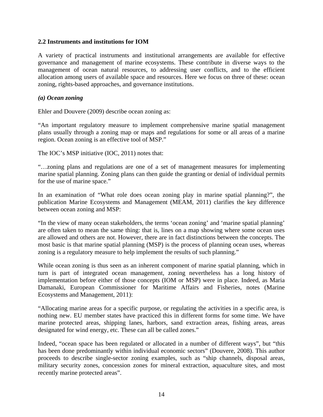#### **2.2 Instruments and institutions for IOM**

A variety of practical instruments and institutional arrangements are available for effective governance and management of marine ecosystems. These contribute in diverse ways to the management of ocean natural resources, to addressing user conflicts, and to the efficient allocation among users of available space and resources. Here we focus on three of these: ocean zoning, rights-based approaches, and governance institutions.

#### *(a) Ocean zoning*

Ehler and Douvere (2009) describe ocean zoning as:

"An important regulatory measure to implement comprehensive marine spatial management plans usually through a zoning map or maps and regulations for some or all areas of a marine region. Ocean zoning is an effective tool of MSP."

The IOC's MSP initiative (IOC, 2011) notes that:

"…zoning plans and regulations are one of a set of management measures for implementing marine spatial planning. Zoning plans can then guide the granting or denial of individual permits for the use of marine space."

In an examination of "What role does ocean zoning play in marine spatial planning?", the publication Marine Ecosystems and Management (MEAM, 2011) clarifies the key difference between ocean zoning and MSP:

"In the view of many ocean stakeholders, the terms 'ocean zoning' and 'marine spatial planning' are often taken to mean the same thing: that is, lines on a map showing where some ocean uses are allowed and others are not. However, there are in fact distinctions between the concepts. The most basic is that marine spatial planning (MSP) is the process of planning ocean uses, whereas zoning is a regulatory measure to help implement the results of such planning."

While ocean zoning is thus seen as an inherent component of marine spatial planning, which in turn is part of integrated ocean management, zoning nevertheless has a long history of implementation before either of those concepts (IOM or MSP) were in place. Indeed, as Maria Damanaki, European Commissioner for Maritime Affairs and Fisheries, notes (Marine Ecosystems and Management, 2011):

"Allocating marine areas for a specific purpose, or regulating the activities in a specific area, is nothing new. EU member states have practiced this in different forms for some time. We have marine protected areas, shipping lanes, harbors, sand extraction areas, fishing areas, areas designated for wind energy, etc. These can all be called zones."

Indeed, "ocean space has been regulated or allocated in a number of different ways", but "this has been done predominantly within individual economic sectors" (Douvere, 2008). This author proceeds to describe single-sector zoning examples, such as "ship channels, disposal areas, military security zones, concession zones for mineral extraction, aquaculture sites, and most recently marine protected areas".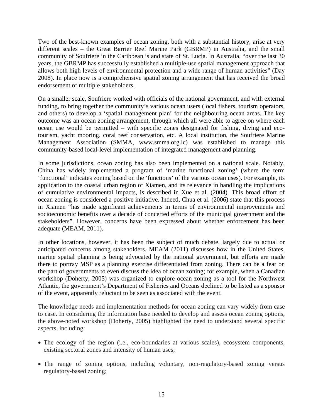Two of the best-known examples of ocean zoning, both with a substantial history, arise at very different scales – the Great Barrier Reef Marine Park (GBRMP) in Australia, and the small community of Soufriere in the Caribbean island state of St. Lucia. In Australia, "over the last 30 years, the GBRMP has successfully established a multiple-use spatial management approach that allows both high levels of environmental protection and a wide range of human activities" (Day 2008). In place now is a comprehensive spatial zoning arrangement that has received the broad endorsement of multiple stakeholders.

On a smaller scale, Soufriere worked with officials of the national government, and with external funding, to bring together the community's various ocean users (local fishers, tourism operators, and others) to develop a 'spatial management plan' for the neighbouring ocean areas. The key outcome was an ocean zoning arrangement, through which all were able to agree on where each ocean use would be permitted – with specific zones designated for fishing, diving and ecotourism, yacht mooring, coral reef conservation, etc. A local institution, the Soufriere Marine Management Association (SMMA, www.smma.org.lc) was established to manage this community-based local-level implementation of integrated management and planning.

In some jurisdictions, ocean zoning has also been implemented on a national scale. Notably, China has widely implemented a program of 'marine functional zoning' (where the term 'functional' indicates zoning based on the 'functions' of the various ocean uses). For example, its application to the coastal urban region of Xiamen, and its relevance in handling the implications of cumulative environmental impacts, is described in Xue et al. (2004). This broad effort of ocean zoning is considered a positive initiative. Indeed, Chua et al. (2006) state that this process in Xiamen "has made significant achievements in terms of environmental improvements and socioeconomic benefits over a decade of concerted efforts of the municipal government and the stakeholders". However, concerns have been expressed about whether enforcement has been adequate (MEAM, 2011).

In other locations, however, it has been the subject of much debate, largely due to actual or anticipated concerns among stakeholders. MEAM (2011) discusses how in the United States, marine spatial planning is being advocated by the national government, but efforts are made there to portray MSP as a planning exercise differentiated from zoning. There can be a fear on the part of governments to even discuss the idea of ocean zoning; for example, when a Canadian workshop (Doherty, 2005) was organized to explore ocean zoning as a tool for the Northwest Atlantic, the government's Department of Fisheries and Oceans declined to be listed as a sponsor of the event, apparently reluctant to be seen as associated with the event.

The knowledge needs and implementation methods for ocean zoning can vary widely from case to case. In considering the information base needed to develop and assess ocean zoning options, the above-noted workshop (Doherty, 2005) highlighted the need to understand several specific aspects, including:

- The ecology of the region (i.e., eco-boundaries at various scales), ecosystem components, existing sectoral zones and intensity of human uses;
- The range of zoning options, including voluntary, non-regulatory-based zoning versus regulatory-based zoning;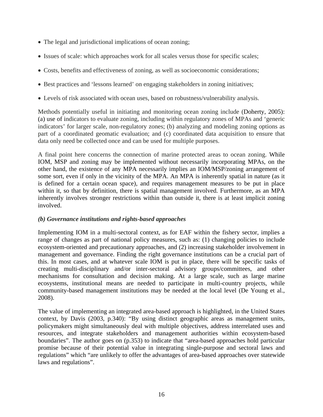- The legal and jurisdictional implications of ocean zoning;
- Issues of scale: which approaches work for all scales versus those for specific scales;
- Costs, benefits and effectiveness of zoning, as well as socioeconomic considerations;
- Best practices and 'lessons learned' on engaging stakeholders in zoning initiatives;
- Levels of risk associated with ocean uses, based on robustness/vulnerability analysis.

Methods potentially useful in initiating and monitoring ocean zoning include (Doherty, 2005): (a) use of indicators to evaluate zoning, including within regulatory zones of MPAs and 'generic indicators' for larger scale, non-regulatory zones; (b) analyzing and modeling zoning options as part of a coordinated geomatic evaluation; and (c) coordinated data acquisition to ensure that data only need be collected once and can be used for multiple purposes.

A final point here concerns the connection of marine protected areas to ocean zoning. While IOM, MSP and zoning may be implemented without necessarily incorporating MPAs, on the other hand, the existence of any MPA necessarily implies an IOM/MSP/zoning arrangement of some sort, even if only in the vicinity of the MPA. An MPA is inherently spatial in nature (as it is defined for a certain ocean space), and requires management measures to be put in place within it, so that by definition, there is spatial management involved. Furthermore, as an MPA inherently involves stronger restrictions within than outside it, there is at least implicit zoning involved.

# *(b) Governance institutions and rights-based approaches*

Implementing IOM in a multi-sectoral context, as for EAF within the fishery sector, implies a range of changes as part of national policy measures, such as: (1) changing policies to include ecosystem-oriented and precautionary approaches, and (2) increasing stakeholder involvement in management and governance. Finding the right governance institutions can be a crucial part of this. In most cases, and at whatever scale IOM is put in place, there will be specific tasks of creating multi-disciplinary and/or inter-sectoral advisory groups/committees, and other mechanisms for consultation and decision making. At a large scale, such as large marine ecosystems, institutional means are needed to participate in multi-country projects, while community-based management institutions may be needed at the local level (De Young et al., 2008).

The value of implementing an integrated area-based approach is highlighted, in the United States context, by Davis (2003, p.340): "By using distinct geographic areas as management units, policymakers might simultaneously deal with multiple objectives, address interrelated uses and resources, and integrate stakeholders and management authorities within ecosystem-based boundaries". The author goes on (p.353) to indicate that "area-based approaches hold particular promise because of their potential value in integrating single-purpose and sectoral laws and regulations" which "are unlikely to offer the advantages of area-based approaches over statewide laws and regulations".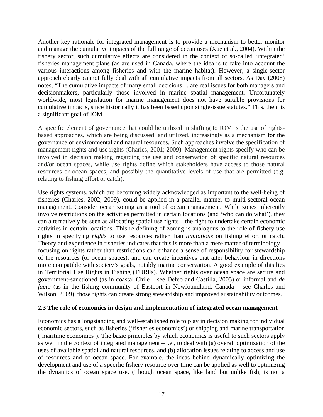Another key rationale for integrated management is to provide a mechanism to better monitor and manage the cumulative impacts of the full range of ocean uses (Xue et al., 2004). Within the fishery sector, such cumulative effects are considered in the context of so-called 'integrated' fisheries management plans (as are used in Canada, where the idea is to take into account the various interactions among fisheries and with the marine habitat). However, a single-sector approach clearly cannot fully deal with all cumulative impacts from all sectors. As Day (2008) notes, "The cumulative impacts of many small decisions… are real issues for both managers and decisionmakers, particularly those involved in marine spatial management. Unfortunately worldwide, most legislation for marine management does not have suitable provisions for cumulative impacts, since historically it has been based upon single-issue statutes." This, then, is a significant goal of IOM.

A specific element of governance that could be utilized in shifting to IOM is the use of rightsbased approaches, which are being discussed, and utilized, increasingly as a mechanism for the governance of environmental and natural resources. Such approaches involve the specification of management rights and use rights (Charles, 2001; 2009). Management rights specify who can be involved in decision making regarding the use and conservation of specific natural resources and/or ocean spaces, while use rights define which stakeholders have access to those natural resources or ocean spaces, and possibly the quantitative levels of use that are permitted (e.g. relating to fishing effort or catch).

Use rights systems, which are becoming widely acknowledged as important to the well-being of fisheries (Charles, 2002, 2009), could be applied in a parallel manner to multi-sectoral ocean management. Consider ocean zoning as a tool of ocean management. While zones inherently involve restrictions on the activities permitted in certain locations (and 'who can do what'), they can alternatively be seen as allocating spatial use rights – the right to undertake certain economic activities in certain locations. This re-defining of zoning is analogous to the role of fishery use rights in specifying *rights* to use resources rather than *limitations* on fishing effort or catch. Theory and experience in fisheries indicates that this is more than a mere matter of terminology – focusing on rights rather than restrictions can enhance a sense of responsibility for stewardship of the resources (or ocean spaces), and can create incentives that alter behaviour in directions more compatible with society's goals, notably marine conservation. A good example of this lies in Territorial Use Rights in Fishing (TURFs). Whether rights over ocean space are secure and government-sanctioned (as in coastal Chile – see Defeo and Castilla, 2005) or informal and *de facto* (as in the fishing community of Eastport in Newfoundland, Canada – see Charles and Wilson, 2009), those rights can create strong stewardship and improved sustainability outcomes.

#### **2.3 The role of economics in design and implementation of integrated ocean management**

Economics has a longstanding and well-established role to play in decision making for individual economic sectors, such as fisheries ('fisheries economics') or shipping and marine transportation ('maritime economics'). The basic principles by which economics is useful to such sectors apply as well in the context of integrated management – i.e., to deal with (a) overall optimization of the uses of available spatial and natural resources, and (b) allocation issues relating to access and use of resources and of ocean space. For example, the ideas behind dynamically optimizing the development and use of a specific fishery resource over time can be applied as well to optimizing the dynamics of ocean space use. (Though ocean space, like land but unlike fish, is not a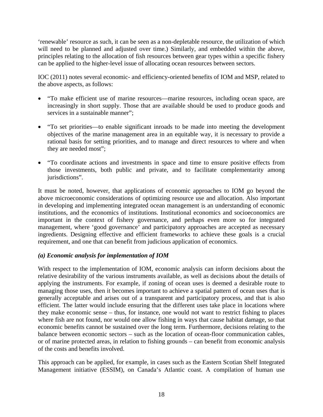'renewable' resource as such, it can be seen as a non-depletable resource, the utilization of which will need to be planned and adjusted over time.) Similarly, and embedded within the above, principles relating to the allocation of fish resources between gear types within a specific fishery can be applied to the higher-level issue of allocating ocean resources between sectors.

IOC (2011) notes several economic- and efficiency-oriented benefits of IOM and MSP, related to the above aspects, as follows:

- "To make efficient use of marine resources—marine resources, including ocean space, are increasingly in short supply. Those that are available should be used to produce goods and services in a sustainable manner";
- "To set priorities—to enable significant inroads to be made into meeting the development objectives of the marine management area in an equitable way, it is necessary to provide a rational basis for setting priorities, and to manage and direct resources to where and when they are needed most";
- "To coordinate actions and investments in space and time to ensure positive effects from those investments, both public and private, and to facilitate complementarity among jurisdictions".

It must be noted, however, that applications of economic approaches to IOM go beyond the above microeconomic considerations of optimizing resource use and allocation. Also important in developing and implementing integrated ocean management is an understanding of economic institutions, and the economics of institutions. Institutional economics and socioeconomics are important in the context of fishery governance, and perhaps even more so for integrated management, where 'good governance' and participatory approaches are accepted as necessary ingredients. Designing effective and efficient frameworks to achieve these goals is a crucial requirement, and one that can benefit from judicious application of economics.

# *(a) Economic analysis for implementation of IOM*

With respect to the implementation of IOM, economic analysis can inform decisions about the relative desirability of the various instruments available, as well as decisions about the details of applying the instruments. For example, if zoning of ocean uses is deemed a desirable route to managing those uses, then it becomes important to achieve a spatial pattern of ocean uses that is generally acceptable and arises out of a transparent and participatory process, and that is also efficient. The latter would include ensuring that the different uses take place in locations where they make economic sense – thus, for instance, one would not want to restrict fishing to places where fish are not found, nor would one allow fishing in ways that cause habitat damage, so that economic benefits cannot be sustained over the long term. Furthermore, decisions relating to the balance between economic sectors – such as the location of ocean-floor communication cables, or of marine protected areas, in relation to fishing grounds – can benefit from economic analysis of the costs and benefits involved.

This approach can be applied, for example, in cases such as the Eastern Scotian Shelf Integrated Management initiative (ESSIM), on Canada's Atlantic coast. A compilation of human use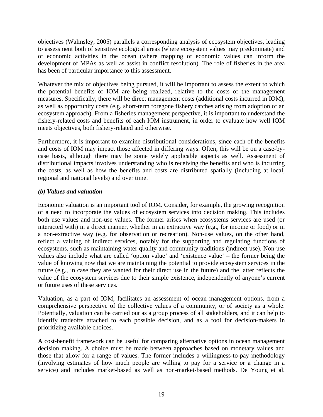objectives (Walmsley, 2005) parallels a corresponding analysis of ecosystem objectives, leading to assessment both of sensitive ecological areas (where ecosystem values may predominate) and of economic activities in the ocean (where mapping of economic values can inform the development of MPAs as well as assist in conflict resolution). The role of fisheries in the area has been of particular importance to this assessment.

Whatever the mix of objectives being pursued, it will be important to assess the extent to which the potential benefits of IOM are being realized, relative to the costs of the management measures. Specifically, there will be direct management costs (additional costs incurred in IOM), as well as opportunity costs (e.g. short-term foregone fishery catches arising from adoption of an ecosystem approach). From a fisheries management perspective, it is important to understand the fishery-related costs and benefits of each IOM instrument, in order to evaluate how well IOM meets objectives, both fishery-related and otherwise.

Furthermore, it is important to examine distributional considerations, since each of the benefits and costs of IOM may impact those affected in differing ways. Often, this will be on a case-bycase basis, although there may be some widely applicable aspects as well. Assessment of distributional impacts involves understanding who is receiving the benefits and who is incurring the costs, as well as how the benefits and costs are distributed spatially (including at local, regional and national levels) and over time.

# *(b) Values and valuation*

Economic valuation is an important tool of IOM. Consider, for example, the growing recognition of a need to incorporate the values of ecosystem services into decision making. This includes both use values and non-use values. The former arises when ecosystems services are used (or interacted with) in a direct manner, whether in an extractive way (e.g., for income or food) or in a non-extractive way (e.g. for observation or recreation). Non-use values, on the other hand, reflect a valuing of indirect services, notably for the supporting and regulating functions of ecosystems, such as maintaining water quality and community traditions (indirect use). Non-use values also include what are called 'option value' and 'existence value' – the former being the value of knowing now that we are maintaining the potential to provide ecosystem services in the future (e.g., in case they are wanted for their direct use in the future) and the latter reflects the value of the ecosystem services due to their simple existence, independently of anyone's current or future uses of these services.

Valuation, as a part of IOM, facilitates an assessment of ocean management options, from a comprehensive perspective of the collective values of a community, or of society as a whole. Potentially, valuation can be carried out as a group process of all stakeholders, and it can help to identify tradeoffs attached to each possible decision, and as a tool for decision-makers in prioritizing available choices.

A cost-benefit framework can be useful for comparing alternative options in ocean management decision making. A choice must be made between approaches based on monetary values and those that allow for a range of values. The former includes a willingness-to-pay methodology (involving estimates of how much people are willing to pay for a service or a change in a service) and includes market-based as well as non-market-based methods. De Young et al.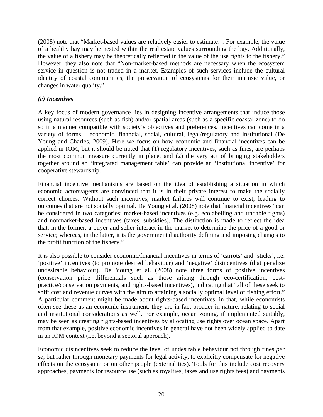(2008) note that "Market-based values are relatively easier to estimate… For example, the value of a healthy bay may be nested within the real estate values surrounding the bay. Additionally, the value of a fishery may be theoretically reflected in the value of the use rights to the fishery." However, they also note that "Non-market-based methods are necessary when the ecosystem service in question is not traded in a market. Examples of such services include the cultural identity of coastal communities, the preservation of ecosystems for their intrinsic value, or changes in water quality."

# *(c) Incentives*

A key focus of modern governance lies in designing incentive arrangements that induce those using natural resources (such as fish) and/or spatial areas (such as a specific coastal zone) to do so in a manner compatible with society's objectives and preferences. Incentives can come in a variety of forms – economic, financial, social, cultural, legal/regulatory and institutional (De Young and Charles, 2009). Here we focus on how economic and financial incentives can be applied in IOM, but it should be noted that (1) regulatory incentives, such as fines, are perhaps the most common measure currently in place, and (2) the very act of bringing stakeholders together around an 'integrated management table' can provide an 'institutional incentive' for cooperative stewardship.

Financial incentive mechanisms are based on the idea of establishing a situation in which economic actors/agents are convinced that it is in their private interest to make the socially correct choices. Without such incentives, market failures will continue to exist, leading to outcomes that are not socially optimal. De Young et al. (2008) note that financial incentives "can be considered in two categories: market-based incentives (e.g. ecolabelling and tradable rights) and nonmarket-based incentives (taxes, subsidies). The distinction is made to reflect the idea that, in the former, a buyer and seller interact in the market to determine the price of a good or service; whereas, in the latter, it is the governmental authority defining and imposing changes to the profit function of the fishery."

It is also possible to consider economic/financial incentives in terms of 'carrots' and 'sticks', i.e. 'positive' incentives (to promote desired behaviour) and 'negative' disincentives (that penalize undesirable behaviour). De Young et al. (2008) note three forms of positive incentives (conservation price differentials such as those arising through eco-certification, bestpractice/conservation payments, and rights-based incentives), indicating that "all of these seek to shift cost and revenue curves with the aim to attaining a socially optimal level of fishing effort." A particular comment might be made about rights-based incentives, in that, while economists often see these as an economic instrument, they are in fact broader in nature, relating to social and institutional considerations as well. For example, ocean zoning, if implemented suitably, may be seen as creating rights-based incentives by allocating use rights over ocean space. Apart from that example, positive economic incentives in general have not been widely applied to date in an IOM context (i.e. beyond a sectoral approach).

Economic disincentives seek to reduce the level of undesirable behaviour not through fines *per se*, but rather through monetary payments for legal activity, to explicitly compensate for negative effects on the ecosystem or on other people (externalities). Tools for this include cost recovery approaches, payments for resource use (such as royalties, taxes and use rights fees) and payments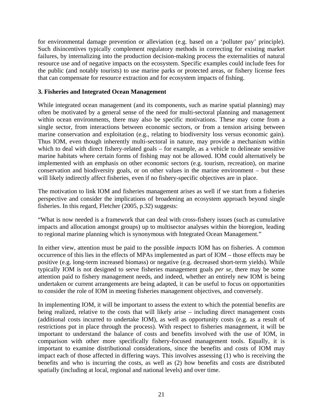for environmental damage prevention or alleviation (e.g. based on a 'polluter pay' principle). Such disincentives typically complement regulatory methods in correcting for existing market failures, by internalizing into the production decision-making process the externalities of natural resource use and of negative impacts on the ecosystem. Specific examples could include fees for the public (and notably tourists) to use marine parks or protected areas, or fishery license fees that can compensate for resource extraction and for ecosystem impacts of fishing.

### **3. Fisheries and Integrated Ocean Management**

While integrated ocean management (and its components, such as marine spatial planning) may often be motivated by a general sense of the need for multi-sectoral planning and management within ocean environments, there may also be specific motivations. These may come from a single sector, from interactions between economic sectors, or from a tension arising between marine conservation and exploitation (e.g., relating to biodiversity loss versus economic gain). Thus IOM, even though inherently multi-sectoral in nature, may provide a mechanism within which to deal with direct fishery-related goals – for example, as a vehicle to delineate sensitive marine habitats where certain forms of fishing may not be allowed. IOM could alternatively be implemented with an emphasis on other economic sectors (e.g. tourism, recreation), on marine conservation and biodiversity goals, or on other values in the marine environment – but these will likely indirectly affect fisheries, even if no fishery-specific objectives are in place.

The motivation to link IOM and fisheries management arises as well if we start from a fisheries perspective and consider the implications of broadening an ecosystem approach beyond single fisheries. In this regard, Fletcher (2005, p.32) suggests:

"What is now needed is a framework that can deal with cross-fishery issues (such as cumulative impacts and allocation amongst groups) up to multisector analyses within the bioregion, leading to regional marine planning which is synonymous with Integrated Ocean Management."

In either view, attention must be paid to the possible *impacts* IOM has on fisheries. A common occurrence of this lies in the effects of MPAs implemented as part of IOM – those effects may be positive (e.g. long-term increased biomass) or negative (e.g. decreased short-term yields). While typically IOM is not designed to serve fisheries management goals *per se*, there may be some attention paid to fishery management needs, and indeed, whether an entirely new IOM is being undertaken or current arrangements are being adapted, it can be useful to focus on opportunities to consider the role of IOM in meeting fisheries management objectives, and conversely.

In implementing IOM, it will be important to assess the extent to which the potential benefits are being realized, relative to the costs that will likely arise – including direct management costs (additional costs incurred to undertake IOM), as well as opportunity costs (e.g. as a result of restrictions put in place through the process). With respect to fisheries management, it will be important to understand the balance of costs and benefits involved with the use of IOM, in comparison with other more specifically fishery-focused management tools. Equally, it is important to examine distributional considerations, since the benefits and costs of IOM may impact each of those affected in differing ways. This involves assessing (1) who is receiving the benefits and who is incurring the costs, as well as (2) how benefits and costs are distributed spatially (including at local, regional and national levels) and over time.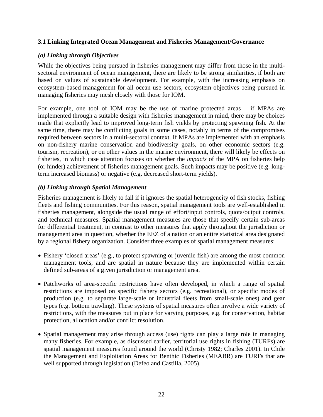# **3.1 Linking Integrated Ocean Management and Fisheries Management/Governance**

### *(a) Linking through Objectives*

While the objectives being pursued in fisheries management may differ from those in the multisectoral environment of ocean management, there are likely to be strong similarities, if both are based on values of sustainable development. For example, with the increasing emphasis on ecosystem-based management for all ocean use sectors, ecosystem objectives being pursued in managing fisheries may mesh closely with those for IOM.

For example, one tool of IOM may be the use of marine protected areas – if MPAs are implemented through a suitable design with fisheries management in mind, there may be choices made that explicitly lead to improved long-term fish yields by protecting spawning fish. At the same time, there may be conflicting goals in some cases, notably in terms of the compromises required between sectors in a multi-sectoral context. If MPAs are implemented with an emphasis on non-fishery marine conservation and biodiversity goals, on other economic sectors (e.g. tourism, recreation), or on other values in the marine environment, there will likely be effects on fisheries, in which case attention focuses on whether the *impacts* of the MPA on fisheries help (or hinder) achievement of fisheries management goals. Such impacts may be positive (e.g. longterm increased biomass) or negative (e.g. decreased short-term yields).

### *(b) Linking through Spatial Management*

Fisheries management is likely to fail if it ignores the spatial heterogeneity of fish stocks, fishing fleets and fishing communities. For this reason, spatial management tools are well-established in fisheries management, alongside the usual range of effort/input controls, quota/output controls, and technical measures. Spatial management measures are those that specify certain sub-areas for differential treatment, in contrast to other measures that apply throughout the jurisdiction or management area in question, whether the EEZ of a nation or an entire statistical area designated by a regional fishery organization. Consider three examples of spatial management measures:

- Fishery 'closed areas' (e.g., to protect spawning or juvenile fish) are among the most common management tools, and are spatial in nature because they are implemented within certain defined sub-areas of a given jurisdiction or management area.
- Patchworks of area-specific restrictions have often developed, in which a range of spatial restrictions are imposed on specific fishery sectors (e.g. recreational), or specific modes of production (e.g. to separate large-scale or industrial fleets from small-scale ones) and gear types (e.g. bottom trawling). These systems of spatial measures often involve a wide variety of restrictions, with the measures put in place for varying purposes, e.g. for conservation, habitat protection, allocation and/or conflict resolution.
- Spatial management may arise through access (use) rights can play a large role in managing many fisheries. For example, as discussed earlier, territorial use rights in fishing (TURFs) are spatial management measures found around the world (Christy 1982; Charles 2001). In Chile the Management and Exploitation Areas for Benthic Fisheries (MEABR) are TURFs that are well supported through legislation (Defeo and Castilla, 2005).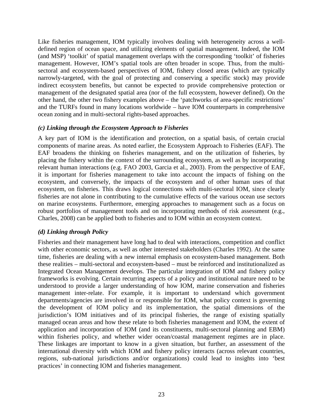Like fisheries management, IOM typically involves dealing with heterogeneity across a welldefined region of ocean space, and utilizing elements of spatial management. Indeed, the IOM (and MSP) 'toolkit' of spatial management overlaps with the corresponding 'toolkit' of fisheries management. However, IOM's spatial tools are often broader in scope. Thus, from the multisectoral and ecosystem-based perspectives of IOM, fishery closed areas (which are typically narrowly-targeted, with the goal of protecting and conserving a specific stock) may provide indirect ecosystem benefits, but cannot be expected to provide comprehensive protection or management of the designated spatial area (nor of the full ecosystem, however defined). On the other hand, the other two fishery examples above – the 'patchworks of area-specific restrictions' and the TURFs found in many locations worldwide – have IOM counterparts in comprehensive ocean zoning and in multi-sectoral rights-based approaches.

### *(c) Linking through the Ecosystem Approach to Fisheries*

A key part of IOM is the identification and protection, on a spatial basis, of certain crucial components of marine areas. As noted earlier, the Ecosystem Approach to Fisheries (EAF). The EAF broadens the thinking on fisheries management, and on the utilization of fisheries, by placing the fishery within the context of the surrounding ecosystem, as well as by incorporating relevant human interactions (e.g. FAO 2003, Garcia et al., 2003). From the perspective of EAF, it is important for fisheries management to take into account the impacts of fishing on the ecosystem, and conversely, the impacts of the ecosystem and of other human uses of that ecosystem, on fisheries. This draws logical connections with multi-sectoral IOM, since clearly fisheries are not alone in contributing to the cumulative effects of the various ocean use sectors on marine ecosystems. Furthermore, emerging approaches to management such as a focus on robust portfolios of management tools and on incorporating methods of risk assessment (e.g., Charles, 2008) can be applied both to fisheries and to IOM within an ecosystem context.

# *(d) Linking through Policy*

Fisheries and their management have long had to deal with interactions, competition and conflict with other economic sectors, as well as other interested stakeholders (Charles 1992). At the same time, fisheries are dealing with a new internal emphasis on ecosystem-based management. Both these realities – multi-sectoral and ecosystem-based – must be reinforced and institutionalized as Integrated Ocean Management develops. The particular integration of IOM and fishery policy frameworks is evolving. Certain recurring aspects of a policy and institutional nature need to be understood to provide a larger understanding of how IOM, marine conservation and fisheries management inter-relate. For example, it is important to understand which government departments/agencies are involved in or responsible for IOM, what policy context is governing the development of IOM policy and its implementation, the spatial dimensions of the jurisdiction's IOM initiatives and of its principal fisheries, the range of existing spatially managed ocean areas and how these relate to both fisheries management and IOM, the extent of application and incorporation of IOM (and its constituents, multi-sectoral planning and EBM) within fisheries policy, and whether wider ocean/coastal management regimes are in place. These linkages are important to know in a given situation, but further, an assessment of the international diversity with which IOM and fishery policy interacts (across relevant countries, regions, sub-national jurisdictions and/or organizations) could lead to insights into 'best practices' in connecting IOM and fisheries management.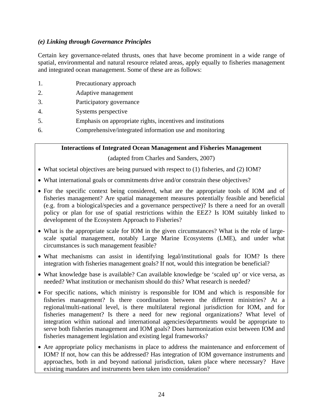# *(e) Linking through Governance Principles*

Certain key governance-related thrusts, ones that have become prominent in a wide range of spatial, environmental and natural resource related areas, apply equally to fisheries management and integrated ocean management. Some of these are as follows:

- 1. Precautionary approach
- 2. Adaptive management
- 3. Participatory governance
- 4. Systems perspective
- 5. Emphasis on appropriate rights, incentives and institutions
- 6. Comprehensive/integrated information use and monitoring

**Interactions of Integrated Ocean Management and Fisheries Management** 

(adapted from Charles and Sanders, 2007)

- What societal objectives are being pursued with respect to (1) fisheries, and (2) IOM?
- What international goals or commitments drive and/or constrain these objectives?
- For the specific context being considered, what are the appropriate tools of IOM and of fisheries management? Are spatial management measures potentially feasible and beneficial (e.g. from a biological/species and a governance perspective)? Is there a need for an overall policy or plan for use of spatial restrictions within the EEZ? Is IOM suitably linked to development of the Ecosystem Approach to Fisheries?
- What is the appropriate scale for IOM in the given circumstances? What is the role of largescale spatial management, notably Large Marine Ecosystems (LME), and under what circumstances is such management feasible?
- What mechanisms can assist in identifying legal/institutional goals for IOM? Is there integration with fisheries management goals? If not, would this integration be beneficial?
- What knowledge base is available? Can available knowledge be 'scaled up' or vice versa, as needed? What institution or mechanism should do this? What research is needed?
- For specific nations, which ministry is responsible for IOM and which is responsible for fisheries management? Is there coordination between the different ministries? At a regional/multi-national level, is there multilateral regional jurisdiction for IOM, and for fisheries management? Is there a need for new regional organizations? What level of integration within national and international agencies/departments would be appropriate to serve both fisheries management and IOM goals? Does harmonization exist between IOM and fisheries management legislation and existing legal frameworks?
- Are appropriate policy mechanisms in place to address the maintenance and enforcement of IOM? If not, how can this be addressed? Has integration of IOM governance instruments and approaches, both in and beyond national jurisdiction, taken place where necessary? Have existing mandates and instruments been taken into consideration?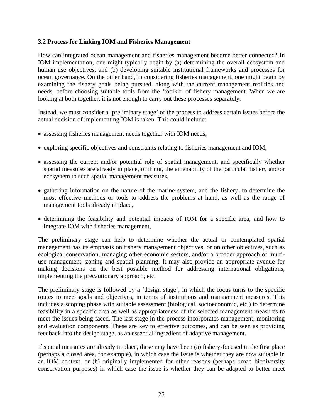#### **3.2 Process for Linking IOM and Fisheries Management**

How can integrated ocean management and fisheries management become better connected? In IOM implementation, one might typically begin by (a) determining the overall ecosystem and human use objectives, and (b) developing suitable institutional frameworks and processes for ocean governance. On the other hand, in considering fisheries management, one might begin by examining the fishery goals being pursued, along with the current management realities and needs, before choosing suitable tools from the 'toolkit' of fishery management. When we are looking at both together, it is not enough to carry out these processes separately.

Instead, we must consider a 'preliminary stage' of the process to address certain issues before the actual decision of implementing IOM is taken. This could include:

- assessing fisheries management needs together with IOM needs,
- exploring specific objectives and constraints relating to fisheries management and IOM,
- assessing the current and/or potential role of spatial management, and specifically whether spatial measures are already in place, or if not, the amenability of the particular fishery and/or ecosystem to such spatial management measures,
- gathering information on the nature of the marine system, and the fishery, to determine the most effective methods or tools to address the problems at hand, as well as the range of management tools already in place,
- determining the feasibility and potential impacts of IOM for a specific area, and how to integrate IOM with fisheries management,

The preliminary stage can help to determine whether the actual or contemplated spatial management has its emphasis on fishery management objectives, or on other objectives, such as ecological conservation, managing other economic sectors, and/or a broader approach of multiuse management, zoning and spatial planning. It may also provide an appropriate avenue for making decisions on the best possible method for addressing international obligations, implementing the precautionary approach, etc.

The preliminary stage is followed by a 'design stage', in which the focus turns to the specific routes to meet goals and objectives, in terms of institutions and management measures. This includes a scoping phase with suitable assessment (biological, socioeconomic, etc.) to determine feasibility in a specific area as well as appropriateness of the selected management measures to meet the issues being faced. The last stage in the process incorporates management, monitoring and evaluation components. These are key to effective outcomes, and can be seen as providing feedback into the design stage, as an essential ingredient of adaptive management.

If spatial measures are already in place, these may have been (a) fishery-focused in the first place (perhaps a closed area, for example), in which case the issue is whether they are now suitable in an IOM context, or (b) originally implemented for other reasons (perhaps broad biodiversity conservation purposes) in which case the issue is whether they can be adapted to better meet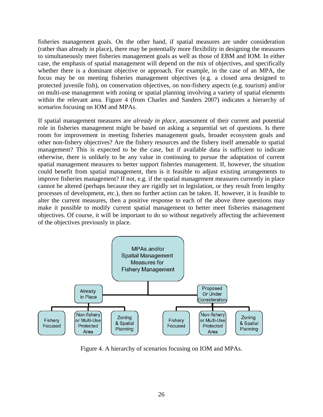fisheries management goals. On the other hand, if spatial measures are under consideration (rather than already in place), there may be potentially more flexibility in designing the measures to simultaneously meet fisheries management goals as well as those of EBM and IOM. In either case, the emphasis of spatial management will depend on the mix of objectives, and specifically whether there is a dominant objective or approach. For example, in the case of an MPA, the focus may be on meeting fisheries management objectives (e.g. a closed area designed to protected juvenile fish), on conservation objectives, on non-fishery aspects (e.g. tourism) and/or on multi-use management with zoning or spatial planning involving a variety of spatial elements within the relevant area. Figure 4 (from Charles and Sanders 2007) indicates a hierarchy of scenarios focusing on IOM and MPAs.

If spatial management measures are *already in place*, assessment of their current and potential role in fisheries management might be based on asking a sequential set of questions. Is there room for improvement in meeting fisheries management goals, broader ecosystem goals and other non-fishery objectives? Are the fishery resources and the fishery itself amenable to spatial management? This is expected to be the case, but if available data is sufficient to indicate otherwise, there is unlikely to be any value in continuing to pursue the adaptation of current spatial management measures to better support fisheries management. If, however, the situation could benefit from spatial management, then is it feasible to adjust existing arrangements to improve fisheries management? If not, e.g. if the spatial management measures currently in place cannot be altered (perhaps because they are rigidly set in legislation, or they result from lengthy processes of development, etc.), then no further action can be taken. If, however, it is feasible to alter the current measures, then a positive response to each of the above three questions may make it possible to modify current spatial management to better meet fisheries management objectives. Of course, it will be important to do so without negatively affecting the achievement of the objectives previously in place.



Figure 4. A hierarchy of scenarios focusing on IOM and MPAs.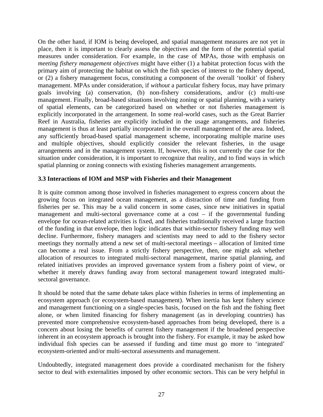On the other hand, if IOM is being developed, and spatial management measures are not yet in place, then it is important to clearly assess the objectives and the form of the potential spatial measures under consideration. For example, in the case of MPAs, those with emphasis on *meeting fishery management objectives* might have either (1) a habitat protection focus with the primary aim of protecting the habitat on which the fish species of interest to the fishery depend, or (2) a fishery management focus, constituting a component of the overall 'toolkit' of fishery management. MPAs under consideration, if *without* a particular fishery focus, may have primary goals involving (a) conservation, (b) non-fishery considerations, and/or (c) multi-use management. Finally, broad-based situations involving zoning or spatial planning, with a variety of spatial elements, can be categorized based on whether or not fisheries management is explicitly incorporated in the arrangement. In some real-world cases, such as the Great Barrier Reef in Australia, fisheries are explicitly included in the usage arrangements, and fisheries management is thus at least partially incorporated in the overall management of the area. Indeed, any sufficiently broad-based spatial management scheme, incorporating multiple marine uses and multiple objectives, should explicitly consider the relevant fisheries, in the usage arrangements and in the management system. If, however, this is not currently the case for the situation under consideration, it is important to recognize that reality, and to find ways in which spatial planning or zoning connects with existing fisheries management arrangements.

### **3.3 Interactions of IOM and MSP with Fisheries and their Management**

It is quite common among those involved in fisheries management to express concern about the growing focus on integrated ocean management, as a distraction of time and funding from fisheries per se. This may be a valid concern in some cases, since new initiatives in spatial management and multi-sectoral governance come at a cost – if the governmental funding envelope for ocean-related activities is fixed, and fisheries traditionally received a large fraction of the funding in that envelope, then logic indicates that within-sector fishery funding may well decline. Furthermore, fishery managers and scientists may need to add to the fishery sector meetings they normally attend a new set of multi-sectoral meetings – allocation of limited time can become a real issue. From a strictly fishery perspective, then, one might ask whether allocation of resources to integrated multi-sectoral management, marine spatial planning, and related initiatives provides an improved governance system from a fishery point of view, or whether it merely draws funding away from sectoral management toward integrated multisectoral governance.

It should be noted that the same debate takes place within fisheries in terms of implementing an ecosystem approach (or ecosystem-based management). When inertia has kept fishery science and management functioning on a single-species basis, focused on the fish and the fishing fleet alone, or when limited financing for fishery management (as in developing countries) has prevented more comprehensive ecosystem-based approaches from being developed, there is a concern about losing the benefits of current fishery management if the broadened perspective inherent in an ecosystem approach is brought into the fishery. For example, it may be asked how individual fish species can be assessed if funding and time must go more to 'integrated' ecosystem-oriented and/or multi-sectoral assessments and management.

Undoubtedly, integrated management does provide a coordinated mechanism for the fishery sector to deal with externalities imposed by other economic sectors. This can be very helpful in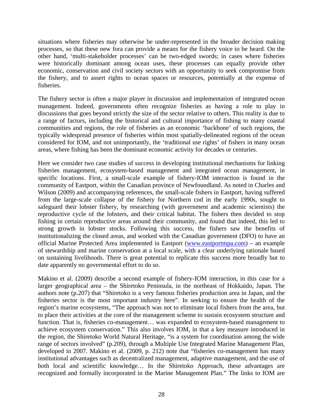situations where fisheries may otherwise be under-represented in the broader decision making processes, so that these new fora can provide a means for the fishery voice to be heard. On the other hand, 'multi-stakeholder processes' can be two-edged swords; in cases where fisheries were historically dominant among ocean uses, these processes can equally provide other economic, conservation and civil society sectors with an opportunity to seek compromise from the fishery, and to assert rights to ocean spaces or resources, potentially at the expense of fisheries.

The fishery sector is often a major player in discussion and implementation of integrated ocean management. Indeed, governments often recognize fisheries as having a role to play in discussions that goes beyond strictly the size of the sector relative to others. This reality is due to a range of factors, including the historical and cultural importance of fishing to many coastal communities and regions, the role of fisheries as an economic 'backbone' of such regions, the typically widespread presence of fisheries within most spatially-delineated regions of the ocean considered for IOM, and not unimportantly, the 'traditional use rights' of fishers in many ocean areas, where fishing has been the dominant economic activity for decades or centuries.

Here we consider two case studies of success in developing institutional mechanisms for linking fisheries management, ecosystem-based management and integrated ocean management, in specific locations. First, a small-scale example of fishery-IOM interaction is found in the community of Eastport, within the Canadian province of Newfoundland. As noted in Charles and Wilson (2009) and accompanying references, the small-scale fishers in Eastport, having suffered from the large-scale collapse of the fishery for Northern cod in the early 1990s, sought to safeguard their lobster fishery, by researching (with government and academic scientists) the reproductive cycle of the lobsters, and their critical habitat. The fishers then decided to stop fishing in certain reproductive areas around their community, and found that indeed, this led to strong growth in lobster stocks. Following this success, the fishers saw the benefits of institutionalizing the closed areas, and worked with the Canadian government (DFO) to have an official Marine Protected Area implemented in Eastport [\(www.eastportmpa.com\)](http://www.eastportmpa.com/) – an example of stewardship and marine conservation at a local scale, with a clear underlying rationale based on sustaining livelihoods. There is great potential to replicate this success more broadly but to date apparently no governmental effort to do so.

Makino et al. (2009) describe a second example of fishery-IOM interaction, in this case for a larger geographical area – the Shiretoko Peninsula, in the northeast of Hokkaido, Japan. The authors note (p.207) that "Shiretoko is a very famous fisheries production area in Japan, and the fisheries sector is the most important industry here". In seeking to ensure the health of the region's marine ecosystems, "The approach was not to eliminate local fishers from the area, but to place their activities at the core of the management scheme to sustain ecosystem structure and function. That is, fisheries co-management... was expanded to ecosystem-based management to achieve ecosystem conservation." This also involves IOM, in that a key measure introduced in the region, the Shiretoko World Natural Heritage, "is a system for coordination among the wide range of sectors involved" (p.209), through a Multiple Use Integrated Marine Management Plan, developed in 2007. Makino et al. (2009, p. 212) note that "fisheries co-management has many institutional advantages such as decentralized management, adaptive management, and the use of both local and scientific knowledge… In the Shiretoko Approach, these advantages are recognized and formally incorporated in the Marine Management Plan." The links to IOM are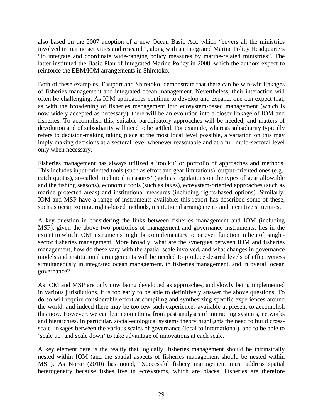also based on the 2007 adoption of a new Ocean Basic Act, which "covers all the ministries involved in marine activities and research", along with an Integrated Marine Policy Headquarters "to integrate and coordinate wide-ranging policy measures by marine-related ministries". The latter instituted the Basic Plan of Integrated Marine Policy in 2008, which the authors expect to reinforce the EBM/IOM arrangements in Shiretoko.

Both of these examples, Eastport and Shiretoko, demonstrate that there can be win-win linkages of fisheries management and integrated ocean management. Nevertheless, their interaction will often be challenging. As IOM approaches continue to develop and expand, one can expect that, as with the broadening of fisheries management into ecosystem-based management (which is now widely accepted as necessary), there will be an evolution into a closer linkage of IOM and fisheries. To accomplish this, suitable participatory approaches will be needed, and matters of devolution and of subsidiarity will need to be settled. For example, whereas subsidiarity typically refers to decision-making taking place at the most local level possible, a variation on this may imply making decisions at a sectoral level whenever reasonable and at a full multi-sectoral level only when necessary.

Fisheries management has always utilized a 'toolkit' or portfolio of approaches and methods. This includes input-oriented tools (such as effort and gear limitations), output-oriented ones (e.g., catch quotas), so-called 'technical measures' (such as regulations on the types of gear allowable and the fishing seasons), economic tools (such as taxes), ecosystem-oriented approaches (such as marine protected areas) and institutional measures (including rights-based options). Similarly, IOM and MSP have a range of instruments available; this report has described some of these, such as ocean zoning, rights-based methods, institutional arrangements and incentive structures.

A key question in considering the links between fisheries management and IOM (including MSP), given the above two portfolios of management and governance instruments, lies in the extent to which IOM instruments might be complementary to, or even function in lieu of, singlesector fisheries management. More broadly, what are the synergies between IOM and fisheries management, how do these vary with the spatial scale involved, and what changes in governance models and institutional arrangements will be needed to produce desired levels of effectiveness simultaneously in integrated ocean management, in fisheries management, and in overall ocean governance?

As IOM and MSP are only now being developed as approaches, and slowly being implemented in various jurisdictions, it is too early to be able to definitively answer the above questions. To do so will require considerable effort at compiling and synthesizing specific experiences around the world, and indeed there may be too few such experiences available at present to accomplish this now. However, we can learn something from past analyses of interacting systems, networks and hierarchies. In particular, social-ecological systems theory highlights the need to build crossscale linkages between the various scales of governance (local to international), and to be able to 'scale up' and scale down' to take advantage of innovations at each scale.

A key element here is the reality that logically, fisheries management should be intrinsically nested within IOM (and the spatial aspects of fisheries management should be nested within MSP). As Norse (2010) has noted, "Successful fishery management must address spatial heterogeneity because fishes live in ecosystems, which are places. Fisheries are therefore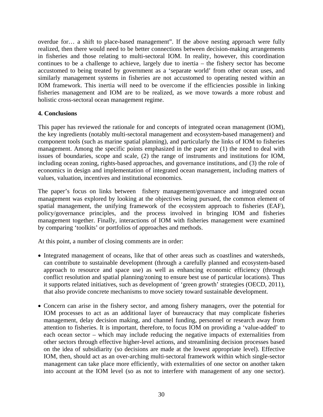overdue for… a shift to place-based management". If the above nesting approach were fully realized, then there would need to be better connections between decision-making arrangements in fisheries and those relating to multi-sectoral IOM. In reality, however, this coordination continues to be a challenge to achieve, largely due to inertia – the fishery sector has become accustomed to being treated by government as a 'separate world' from other ocean uses, and similarly management systems in fisheries are not accustomed to operating nested within an IOM framework. This inertia will need to be overcome if the efficiencies possible in linking fisheries management and IOM are to be realized, as we move towards a more robust and holistic cross-sectoral ocean management regime.

### **4. Conclusions**

This paper has reviewed the rationale for and concepts of integrated ocean management (IOM), the key ingredients (notably multi-sectoral management and ecosystem-based management) and component tools (such as marine spatial planning), and particularly the links of IOM to fisheries management. Among the specific points emphasized in the paper are (1) the need to deal with issues of boundaries, scope and scale, (2) the range of instruments and institutions for IOM, including ocean zoning, rights-based approaches, and governance institutions, and (3) the role of economics in design and implementation of integrated ocean management, including matters of values, valuation, incentives and institutional economics.

The paper's focus on links between fishery management/governance and integrated ocean management was explored by looking at the objectives being pursued, the common element of spatial management, the unifying framework of the ecosystem approach to fisheries (EAF), policy/governance principles, and the process involved in bringing IOM and fisheries management together. Finally, interactions of IOM with fisheries management were examined by comparing 'toolkits' or portfolios of approaches and methods.

At this point, a number of closing comments are in order:

- Integrated management of oceans, like that of other areas such as coastlines and watersheds, can contribute to sustainable development (through a carefully planned and ecosystem-based approach to resource and space use) as well as enhancing economic efficiency (through conflict resolution and spatial planning/zoning to ensure best use of particular locations). Thus it supports related initiatives, such as development of 'green growth' strategies (OECD, 2011), that also provide concrete mechanisms to move society toward sustainable development.
- Concern can arise in the fishery sector, and among fishery managers, over the potential for IOM processes to act as an additional layer of bureaucracy that may complicate fisheries management, delay decision making, and channel funding, personnel or research away from attention to fisheries. It is important, therefore, to focus IOM on providing a 'value-added' to each ocean sector – which may include reducing the negative impacts of externalities from other sectors through effective higher-level actions, and streamlining decision processes based on the idea of subsidiarity (so decisions are made at the lowest appropriate level). Effective IOM, then, should act as an over-arching multi-sectoral framework within which single-sector management can take place more efficiently, with externalities of one sector on another taken into account at the IOM level (so as not to interfere with management of any one sector).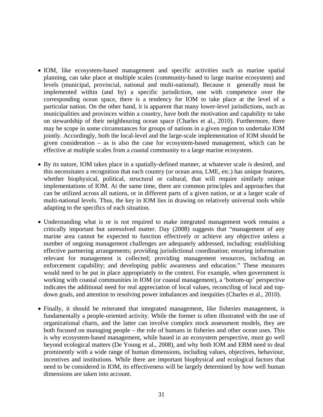- IOM, like ecosystem-based management and specific activities such as marine spatial planning, can take place at multiple scales (community-based to large marine ecosystem) and levels (municipal, provincial, national and multi-national). Because it generally must be implemented within (and by) a specific jurisdiction, one with competence over the corresponding ocean space, there is a tendency for IOM to take place at the level of a particular nation. On the other hand, it is apparent that many lower-level jurisdictions, such as municipalities and provinces within a country, have both the motivation and capability to take on stewardship of their neighbouring ocean space (Charles et al., 2010). Furthermore, there may be scope in some circumstances for groups of nations in a given region to undertake IOM jointly. Accordingly, both the local-level and the large-scale implementation of IOM should be given consideration – as is also the case for ecosystem-based management, which can be effective at multiple scales from a coastal community to a large marine ecosystem.
- By its nature, IOM takes place in a spatially-defined manner, at whatever scale is desired, and this necessitates a recognition that each country (or ocean area, LME, etc.) has unique features, whether biophysical, political, structural or cultural, that will require similarly unique implementations of IOM. At the same time, there are common principles and approaches that can be utilized across all nations, or in different parts of a given nation, or at a larger scale of multi-national levels. Thus, the key in IOM lies in drawing on relatively universal tools while adapting to the specifics of each situation.
- Understanding what is or is not required to make integrated management work remains a critically important but unresolved matter. Day (2008) suggests that "management of any marine area cannot be expected to function effectively or achieve any objective unless a number of ongoing management challenges are adequately addressed, including: establishing effective partnering arrangements; providing jurisdictional coordination; ensuring information relevant for management is collected; providing management resources, including an enforcement capability; and developing public awareness and education." These measures would need to be put in place appropriately to the context. For example, when government is working with coastal communities in IOM (or coastal management), a 'bottom-up' perspective indicates the additional need for real appreciation of local values, reconciling of local and topdown goals, and attention to resolving power imbalances and inequities (Charles et al., 2010).
- Finally, it should be reiterated that integrated management, like fisheries management, is fundamentally a people-oriented activity. While the former is often illustrated with the use of organizational charts, and the latter can involve complex stock assessment models, they are both focused on managing people – the role of humans in fisheries and other ocean uses. This is why ecosystem-based management, while based in an ecosystem perspective, must go well beyond ecological matters (De Young et al., 2008), and why both IOM and EBM need to deal prominently with a wide range of human dimensions, including values, objectives, behaviour, incentives and institutions. While there are important biophysical and ecological factors that need to be considered in IOM, its effectiveness will be largely determined by how well human dimensions are taken into account.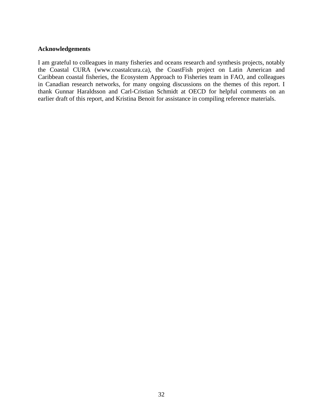#### **Acknowledgements**

I am grateful to colleagues in many fisheries and oceans research and synthesis projects, notably the Coastal CURA (www.coastalcura.ca), the CoastFish project on Latin American and Caribbean coastal fisheries, the Ecosystem Approach to Fisheries team in FAO, and colleagues in Canadian research networks, for many ongoing discussions on the themes of this report. I thank Gunnar Haraldsson and Carl-Cristian Schmidt at OECD for helpful comments on an earlier draft of this report, and Kristina Benoit for assistance in compiling reference materials.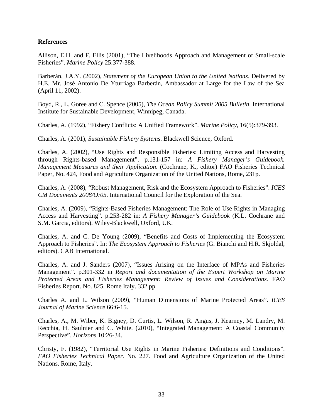#### **References**

Allison, E.H. and F. Ellis (2001), "The Livelihoods Approach and Management of Small-scale Fisheries". *Marine Policy* 25:377-388.

Barberán, J.A.Y. (2002), *Statement of the European Union to the United Nations*. Delivered by H.E. Mr. José Antonio De Yturriaga Barberán, Ambassador at Large for the Law of the Sea (April 11, 2002).

Boyd, R., L. Goree and C. Spence (2005), *The Ocean Policy Summit 2005 Bulletin*. International Institute for Sustainable Development, Winnipeg, Canada.

Charles, A. (1992), "Fishery Conflicts: A Unified Framework". *Marine Policy*, 16(5):379-393.

Charles, A. (2001), *Sustainable Fishery Systems*. Blackwell Science, Oxford.

Charles, A. (2002), "Use Rights and Responsible Fisheries: Limiting Access and Harvesting through Rights-based Management". p.131-157 in: *A Fishery Manager's Guidebook. Management Measures and their Application*. (Cochrane, K., editor) FAO Fisheries Technical Paper, No. 424, Food and Agriculture Organization of the United Nations, Rome, 231p.

Charles, A. (2008), "Robust Management, Risk and the Ecosystem Approach to Fisheries". *ICES CM Documents 2008/O:05*. International Council for the Exploration of the Sea.

Charles, A. (2009), "Rights-Based Fisheries Management: The Role of Use Rights in Managing Access and Harvesting". p.253-282 in: *A Fishery Manager's Guidebook* (K.L. Cochrane and S.M. Garcia, editors). Wiley-Blackwell, Oxford, UK.

Charles, A. and C. De Young (2009), "Benefits and Costs of Implementing the Ecosystem Approach to Fisheries". In: *The Ecosystem Approach to Fisheries* (G. Bianchi and H.R. Skjoldal, editors). CAB International.

Charles, A. and J. Sanders (2007), "Issues Arising on the Interface of MPAs and Fisheries Management". p.301-332 in *Report and documentation of the Expert Workshop on Marine Protected Areas and Fisheries Management: Review of Issues and Considerations*. FAO Fisheries Report. No. 825. Rome Italy. 332 pp.

Charles A. and L. Wilson (2009), "Human Dimensions of Marine Protected Areas". *ICES Journal of Marine Science* 66:6-15.

Charles, A., M. Wiber, K. Bigney, D. Curtis, L. Wilson, R. Angus, J. Kearney, M. Landry, M. Recchia, H. Saulnier and C. White. (2010), "Integrated Management: A Coastal Community Perspective". *Horizons* 10:26-34.

Christy, F. (1982), "Territorial Use Rights in Marine Fisheries: Definitions and Conditions". *FAO Fisheries Technical Paper.* No. 227. Food and Agriculture Organization of the United Nations. Rome, Italy.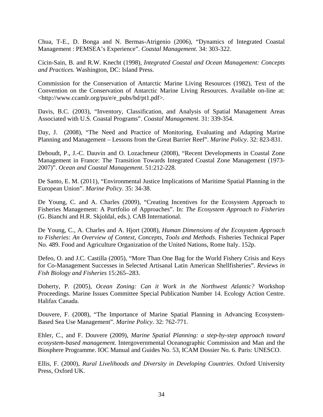Chua, T-E., D. Bonga and N. Bermas-Atrigenio (2006), "Dynamics of Integrated Coastal Management : PEMSEA's Experience". *Coastal Management*. 34: 303-322.

Cicin-Sain, B. and R.W. Knecht (1998), *Integrated Coastal and Ocean Management: Concepts and Practices.* Washington, DC: Island Press.

Commission for the Conservation of Antarctic Marine Living Resources (1982), Text of the Convention on the Conservation of Antarctic Marine Living Resources. Available on-line at: <http://www.ccamlr.org/pu/e/e\_pubs/bd/pt1.pdf>.

Davis, B.C. (2003), "Inventory, Classification, and Analysis of Spatial Management Areas Associated with U.S. Coastal Programs". *Coastal Management*. 31: 339-354.

Day, J. (2008), "The Need and Practice of Monitoring, Evaluating and Adapting Marine Planning and Management – Lessons from the Great Barrier Reef". *Marine Policy*. 32: 823-831.

Deboudt, P., J.-C. Dauvin and O. Lozachmeur (2008), "Recent Developments in Coastal Zone Management in France: The Transition Towards Integrated Coastal Zone Management (1973- 2007)". *Ocean and Coastal Management*. 51:212-228.

De Santo, E. M. (2011), "Environmental Justice Implications of Maritime Spatial Planning in the European Union". *Marine Policy*. 35: 34-38.

De Young, C. and A. Charles (2009), "Creating Incentives for the Ecosystem Approach to Fisheries Management: A Portfolio of Approaches". In: *The Ecosystem Approach to Fisheries* (G. Bianchi and H.R. Skjoldal, eds.). CAB International.

De Young, C., A. Charles and A. Hjort (2008), *Human Dimensions of the Ecosystem Approach to Fisheries: An Overview of Context, Concepts, Tools and Methods*. Fisheries Technical Paper No. 489. Food and Agriculture Organization of the United Nations, Rome Italy. 152p.

Defeo, O. and J.C. Castilla (2005), "More Than One Bag for the World Fishery Crisis and Keys for Co-Management Successes in Selected Artisanal Latin American Shellfisheries". *Reviews in Fish Biology and Fisheries* 15:265–283.

Doherty, P. (2005), *Ocean Zoning: Can it Work in the Northwest Atlantic?* Workshop Proceedings. Marine Issues Committee Special Publication Number 14. Ecology Action Centre. Halifax Canada.

Douvere, F. (2008), "The Importance of Marine Spatial Planning in Advancing Ecosystem-Based Sea Use Management". *Marine Policy*. 32: 762-771.

Ehler, C., and F. Douvere (2009), *Marine Spatial Planning: a step-by-step approach toward ecosystem-based management.* Intergovernmental Oceanographic Commission and Man and the Biosphere Programme. IOC Manual and Guides No. 53, ICAM Dossier No. 6. Paris: UNESCO.

Ellis, F. (2000), *Rural Livelihoods and Diversity in Developing Countries*. Oxford University Press, Oxford UK.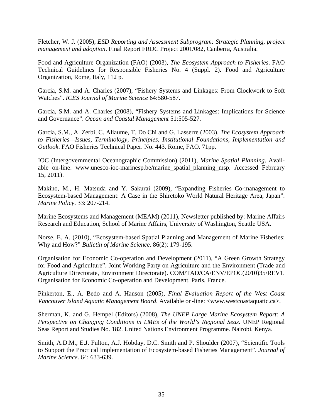Fletcher, W. J. (2005), *ESD Reporting and Assessment Subprogram: Strategic Planning, project management and adoption*. Final Report FRDC Project 2001/082, Canberra, Australia.

Food and Agriculture Organization (FAO) (2003), *The Ecosystem Approach to Fisheries*. FAO Technical Guidelines for Responsible Fisheries No. 4 (Suppl. 2). Food and Agriculture Organization, Rome, Italy, 112 p.

Garcia, S.M. and A. Charles (2007), "Fishery Systems and Linkages: From Clockwork to Soft Watches". *ICES Journal of Marine Science* 64:580-587.

Garcia, S.M. and A. Charles (2008), "Fishery Systems and Linkages: Implications for Science and Governance". *Ocean and Coastal Management* 51:505-527.

Garcia, S.M., A. Zerbi, C. Aliaume, T. Do Chi and G. Lasserre (2003), *The Ecosystem Approach to Fisheries—Issues, Terminology, Principles, Institutional Foundations, Implementation and Outlook*. FAO Fisheries Technical Paper. No. 443. Rome, FAO. 71pp.

IOC (Intergovernmental Oceanographic Commission) (2011), *Marine Spatial Planning*. Available on-line: www.unesco-ioc-marinesp.be/marine\_spatial\_planning\_msp. Accessed February 15, 2011).

Makino, M., H. Matsuda and Y. Sakurai (2009), "Expanding Fisheries Co-management to Ecosystem-based Management: A Case in the Shiretoko World Natural Heritage Area, Japan". *Marine Policy*. 33: 207-214.

Marine Ecosystems and Management (MEAM) (2011), Newsletter published by: Marine Affairs Research and Education, School of Marine Affairs, University of Washington, Seattle USA.

Norse, E. A. (2010), "Ecosystem-based Spatial Planning and Management of Marine Fisheries: Why and How?" *Bulletin of Marine Science*. 86(2): 179-195.

Organisation for Economic Co-operation and Development (2011), "A Green Growth Strategy for Food and Agriculture". Joint Working Party on Agriculture and the Environment (Trade and Agriculture Directorate, Environment Directorate). COM/TAD/CA/ENV/EPOC(2010)35/REV1. Organisation for Economic Co-operation and Development. Paris, France.

Pinkerton, E., A. Bedo and A. Hanson (2005), *Final Evaluation Report of the West Coast Vancouver Island Aquatic Management Board*. Available on-line: <www.westcoastaquatic.ca>.

Sherman, K. and G. Hempel (Editors) (2008), *The UNEP Large Marine Ecosystem Report: A Perspective on Changing Conditions in LMEs of the World's Regional Seas*. UNEP Regional Seas Report and Studies No. 182. United Nations Environment Programme. Nairobi, Kenya.

Smith, A.D.M., E.J. Fulton, A.J. Hobday, D.C. Smith and P. Shoulder (2007), "Scientific Tools to Support the Practical Implementation of Ecosystem-based Fisheries Management". *Journal of Marine Science*. 64: 633-639.